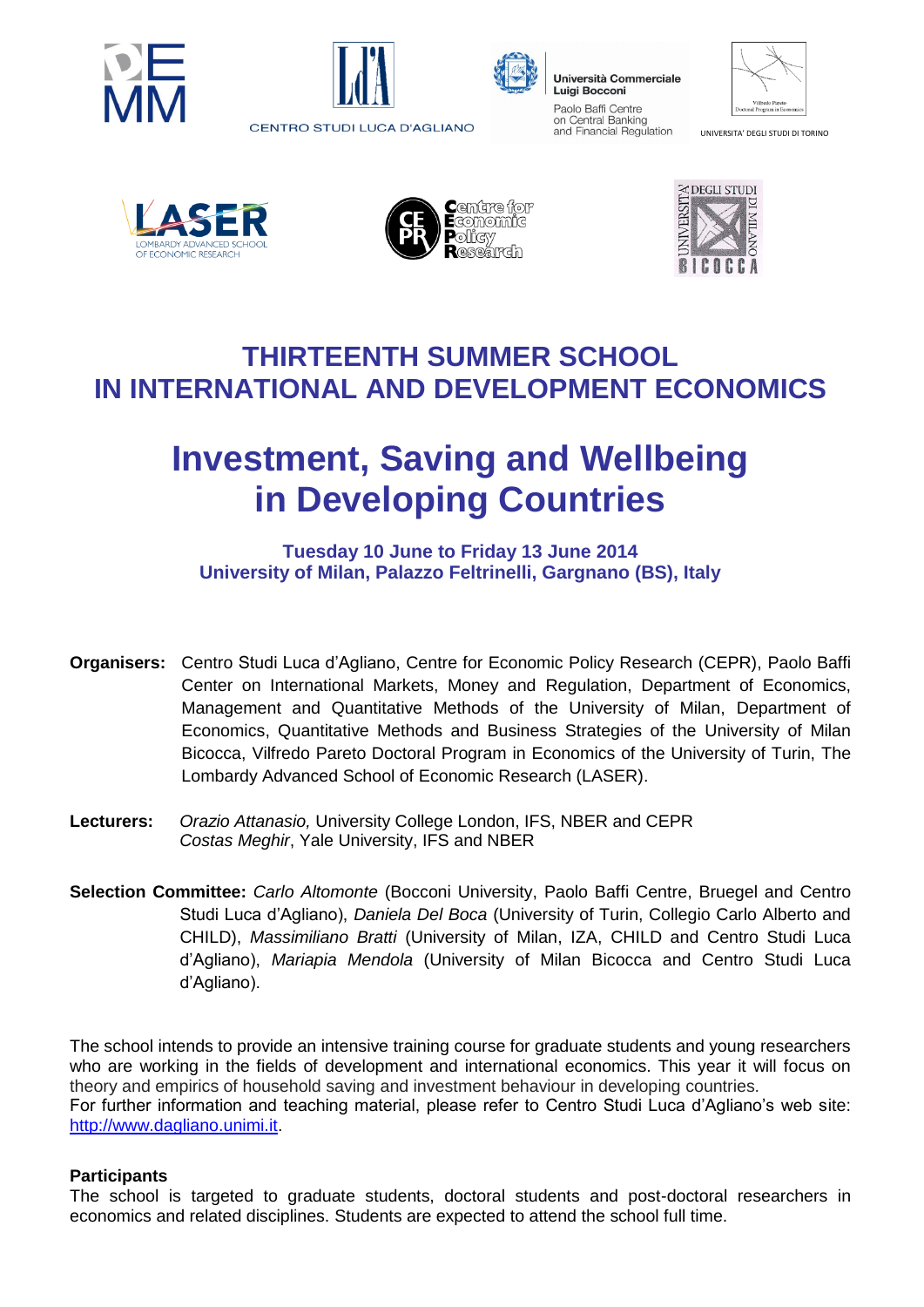





Università Commerciale **Luigi Bocconi** Paolo Baffi Centre on Central Banking and Financial Regulation

| Vilfredo Pareto<br>Doctoral Program in Economics |  |
|--------------------------------------------------|--|

UNIVERSITA' DEGLI STUDI DI TORINO







### **THIRTEENTH SUMMER SCHOOL IN INTERNATIONAL AND DEVELOPMENT ECONOMICS**

# **Investment, Saving and Wellbeing in Developing Countries**

**Tuesday 10 June to Friday 13 June 2014 University of Milan, Palazzo Feltrinelli, Gargnano (BS), Italy**

- **Organisers:** Centro Studi Luca d'Agliano, Centre for Economic Policy Research (CEPR), Paolo Baffi Center on International Markets, Money and Regulation, Department of Economics, Management and Quantitative Methods of the University of Milan, Department of Economics, Quantitative Methods and Business Strategies of the University of Milan Bicocca, Vilfredo Pareto Doctoral Program in Economics of the University of Turin, The Lombardy Advanced School of Economic Research (LASER).
- **Lecturers:** *Orazio Attanasio,* University College London, IFS, NBER and CEPR *Costas Meghir*, Yale University, IFS and NBER
- **Selection Committee:** *Carlo Altomonte* (Bocconi University, Paolo Baffi Centre, Bruegel and Centro Studi Luca d'Agliano), *Daniela Del Boca* (University of Turin, Collegio Carlo Alberto and CHILD), *Massimiliano Bratti* (University of Milan, IZA, CHILD and Centro Studi Luca d'Agliano), *Mariapia Mendola* (University of Milan Bicocca and Centro Studi Luca d'Agliano).

The school intends to provide an intensive training course for graduate students and young researchers who are working in the fields of development and international economics. This year it will focus on theory and empirics of household saving and investment behaviour in developing countries. For further information and teaching material, please refer to Centro Studi Luca d'Agliano's web site: [http://www.dagliano.unimi.it.](http://www.dagliano.unimi.it/)

#### **Participants**

The school is targeted to graduate students, doctoral students and post-doctoral researchers in economics and related disciplines. Students are expected to attend the school full time.